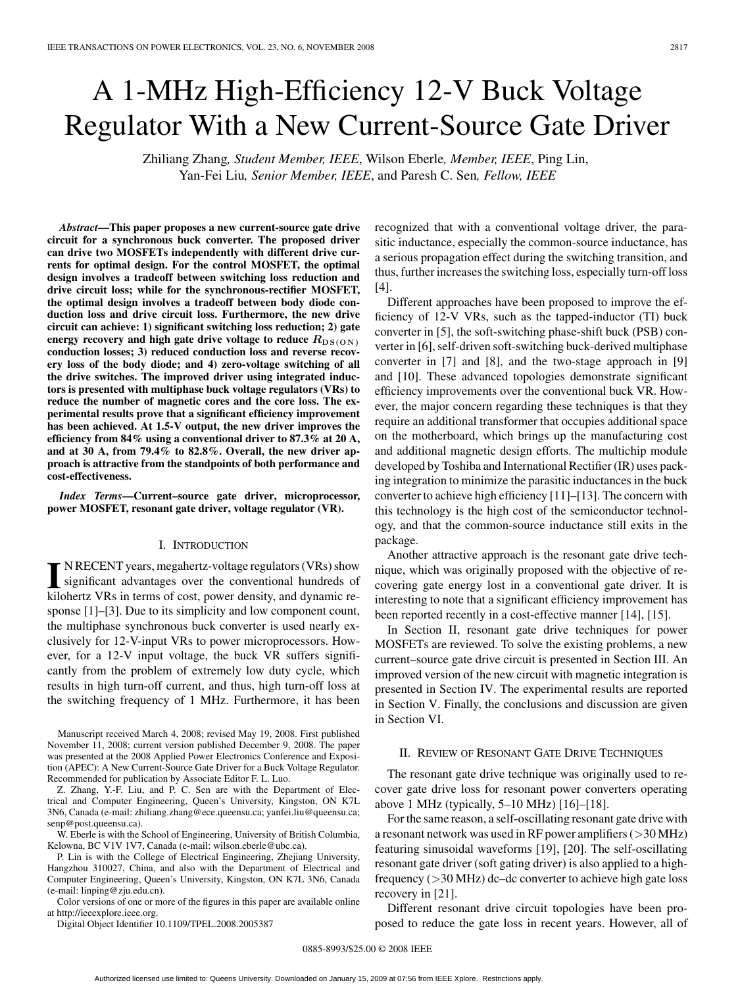# A 1-MHz High-Efficiency 12-V Buck Voltage Regulator With a New Current-Source Gate Driver

Zhiliang Zhang*, Student Member, IEEE*, Wilson Eberle*, Member, IEEE*, Ping Lin, Yan-Fei Liu*, Senior Member, IEEE*, and Paresh C. Sen*, Fellow, IEEE*

*Abstract***—This paper proposes a new current-source gate drive circuit for a synchronous buck converter. The proposed driver can drive two MOSFETs independently with different drive currents for optimal design. For the control MOSFET, the optimal design involves a tradeoff between switching loss reduction and drive circuit loss; while for the synchronous-rectifier MOSFET, the optimal design involves a tradeoff between body diode conduction loss and drive circuit loss. Furthermore, the new drive circuit can achieve: 1) significant switching loss reduction; 2) gate** energy recovery and high gate drive voltage to reduce  $R_{DS(ON)}$ **conduction losses; 3) reduced conduction loss and reverse recovery loss of the body diode; and 4) zero-voltage switching of all the drive switches. The improved driver using integrated inductors is presented with multiphase buck voltage regulators (VRs) to reduce the number of magnetic cores and the core loss. The experimental results prove that a significant efficiency improvement has been achieved. At 1.5-V output, the new driver improves the efficiency from 84% using a conventional driver to 87.3% at 20 A, and at 30 A, from 79.4% to 82.8%. Overall, the new driver approach is attractive from the standpoints of both performance and cost-effectiveness.**

*Index Terms***—Current–source gate driver, microprocessor, power MOSFET, resonant gate driver, voltage regulator (VR).**

### I. INTRODUCTION

**I** NRECENT years, megahertz-voltage regulators (VRs) show<br>significant advantages over the conventional hundreds of<br>kilobertz VRs in terms of cost, power density, and dynamic re-N RECENT years, megahertz-voltage regulators (VRs) show kilohertz VRs in terms of cost, power density, and dynamic response [1]–[3]. Due to its simplicity and low component count, the multiphase synchronous buck converter is used nearly exclusively for 12-V-input VRs to power microprocessors. However, for a 12-V input voltage, the buck VR suffers significantly from the problem of extremely low duty cycle, which results in high turn-off current, and thus, high turn-off loss at the switching frequency of 1 MHz. Furthermore, it has been

Manuscript received March 4, 2008; revised May 19, 2008. First published November 11, 2008; current version published December 9, 2008. The paper was presented at the 2008 Applied Power Electronics Conference and Exposition (APEC): A New Current-Source Gate Driver for a Buck Voltage Regulator. Recommended for publication by Associate Editor F. L. Luo.

Z. Zhang, Y.-F. Liu, and P. C. Sen are with the Department of Electrical and Computer Engineering, Queen's University, Kingston, ON K7L 3N6, Canada (e-mail: zhiliang.zhang@ece.queensu.ca; yanfei.liu@queensu.ca; senp@post.queensu.ca).

W. Eberle is with the School of Engineering, University of British Columbia, Kelowna, BC V1V 1V7, Canada (e-mail: wilson.eberle@ubc.ca).

P. Lin is with the College of Electrical Engineering, Zhejiang University, Hangzhou 310027, China, and also with the Department of Electrical and Computer Engineering, Queen's University, Kingston, ON K7L 3N6, Canada (e-mail: linping@zju.edu.cn).

Color versions of one or more of the figures in this paper are available online at http://ieeexplore.ieee.org.

Digital Object Identifier 10.1109/TPEL.2008.2005387

recognized that with a conventional voltage driver, the parasitic inductance, especially the common-source inductance, has a serious propagation effect during the switching transition, and thus, further increases the switching loss, especially turn-off loss [4].

Different approaches have been proposed to improve the efficiency of 12-V VRs, such as the tapped-inductor (TI) buck converter in [5], the soft-switching phase-shift buck (PSB) converter in [6], self-driven soft-switching buck-derived multiphase converter in [7] and [8], and the two-stage approach in [9] and [10]. These advanced topologies demonstrate significant efficiency improvements over the conventional buck VR. However, the major concern regarding these techniques is that they require an additional transformer that occupies additional space on the motherboard, which brings up the manufacturing cost and additional magnetic design efforts. The multichip module developed by Toshiba and International Rectifier (IR) uses packing integration to minimize the parasitic inductances in the buck converter to achieve high efficiency [11]–[13]. The concern with this technology is the high cost of the semiconductor technology, and that the common-source inductance still exits in the package.

Another attractive approach is the resonant gate drive technique, which was originally proposed with the objective of recovering gate energy lost in a conventional gate driver. It is interesting to note that a significant efficiency improvement has been reported recently in a cost-effective manner [14], [15].

In Section II, resonant gate drive techniques for power MOSFETs are reviewed. To solve the existing problems, a new current–source gate drive circuit is presented in Section III. An improved version of the new circuit with magnetic integration is presented in Section IV. The experimental results are reported in Section V. Finally, the conclusions and discussion are given in Section VI.

## II. REVIEW OF RESONANT GATE DRIVE TECHNIQUES

The resonant gate drive technique was originally used to recover gate drive loss for resonant power converters operating above 1 MHz (typically, 5–10 MHz) [16]–[18].

For the same reason, a self-oscillating resonant gate drive with a resonant network was used in RF power amplifiers (>30 MHz) featuring sinusoidal waveforms [19], [20]. The self-oscillating resonant gate driver (soft gating driver) is also applied to a highfrequency  $(>30$  MHz) dc–dc converter to achieve high gate loss recovery in [21].

Different resonant drive circuit topologies have been proposed to reduce the gate loss in recent years. However, all of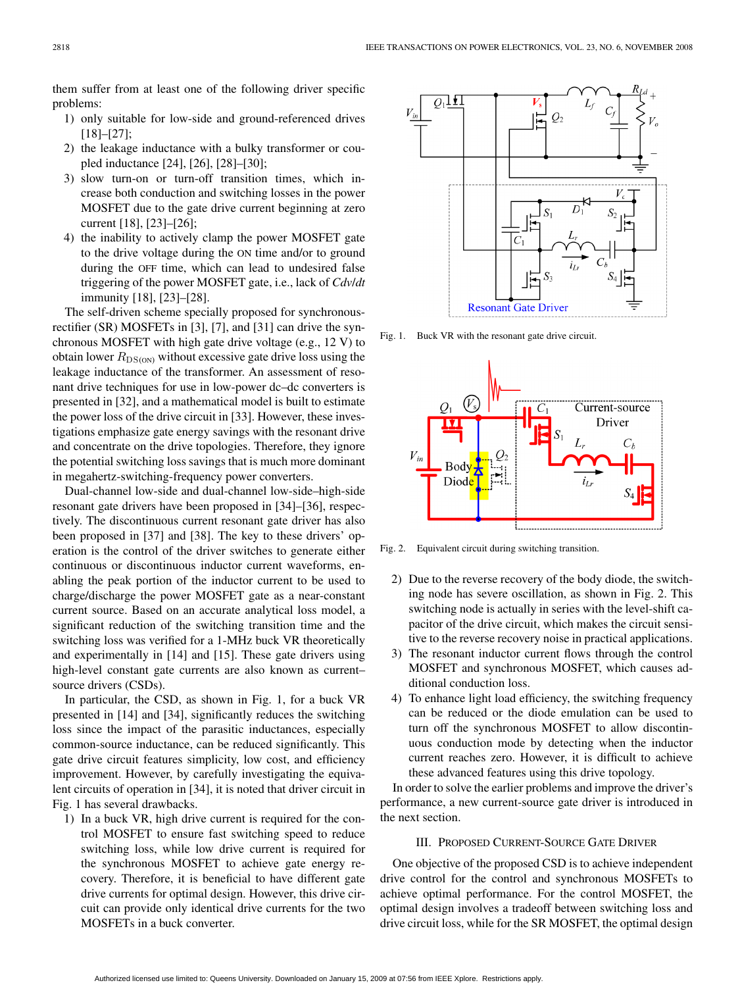them suffer from at least one of the following driver specific problems:

- 1) only suitable for low-side and ground-referenced drives [18]–[27];
- 2) the leakage inductance with a bulky transformer or coupled inductance [24], [26], [28]–[30];
- 3) slow turn-on or turn-off transition times, which increase both conduction and switching losses in the power MOSFET due to the gate drive current beginning at zero current [18], [23]–[26];
- 4) the inability to actively clamp the power MOSFET gate to the drive voltage during the ON time and/or to ground during the OFF time, which can lead to undesired false triggering of the power MOSFET gate, i.e., lack of *Cdv*/*dt* immunity [18], [23]–[28].

The self-driven scheme specially proposed for synchronousrectifier (SR) MOSFETs in [3], [7], and [31] can drive the synchronous MOSFET with high gate drive voltage (e.g., 12 V) to obtain lower  $R_{DS(ON)}$  without excessive gate drive loss using the leakage inductance of the transformer. An assessment of resonant drive techniques for use in low-power dc–dc converters is presented in [32], and a mathematical model is built to estimate the power loss of the drive circuit in [33]. However, these investigations emphasize gate energy savings with the resonant drive and concentrate on the drive topologies. Therefore, they ignore the potential switching loss savings that is much more dominant in megahertz-switching-frequency power converters.

Dual-channel low-side and dual-channel low-side–high-side resonant gate drivers have been proposed in [34]–[36], respectively. The discontinuous current resonant gate driver has also been proposed in [37] and [38]. The key to these drivers' operation is the control of the driver switches to generate either continuous or discontinuous inductor current waveforms, enabling the peak portion of the inductor current to be used to charge/discharge the power MOSFET gate as a near-constant current source. Based on an accurate analytical loss model, a significant reduction of the switching transition time and the switching loss was verified for a 1-MHz buck VR theoretically and experimentally in [14] and [15]. These gate drivers using high-level constant gate currents are also known as current– source drivers (CSDs).

In particular, the CSD, as shown in Fig. 1, for a buck VR presented in [14] and [34], significantly reduces the switching loss since the impact of the parasitic inductances, especially common-source inductance, can be reduced significantly. This gate drive circuit features simplicity, low cost, and efficiency improvement. However, by carefully investigating the equivalent circuits of operation in [34], it is noted that driver circuit in Fig. 1 has several drawbacks.

1) In a buck VR, high drive current is required for the control MOSFET to ensure fast switching speed to reduce switching loss, while low drive current is required for the synchronous MOSFET to achieve gate energy recovery. Therefore, it is beneficial to have different gate drive currents for optimal design. However, this drive circuit can provide only identical drive currents for the two MOSFETs in a buck converter.



Fig. 1. Buck VR with the resonant gate drive circuit.



Fig. 2. Equivalent circuit during switching transition.

- 2) Due to the reverse recovery of the body diode, the switching node has severe oscillation, as shown in Fig. 2. This switching node is actually in series with the level-shift capacitor of the drive circuit, which makes the circuit sensitive to the reverse recovery noise in practical applications.
- 3) The resonant inductor current flows through the control MOSFET and synchronous MOSFET, which causes additional conduction loss.
- 4) To enhance light load efficiency, the switching frequency can be reduced or the diode emulation can be used to turn off the synchronous MOSFET to allow discontinuous conduction mode by detecting when the inductor current reaches zero. However, it is difficult to achieve these advanced features using this drive topology.

In order to solve the earlier problems and improve the driver's performance, a new current-source gate driver is introduced in the next section.

## III. PROPOSED CURRENT-SOURCE GATE DRIVER

One objective of the proposed CSD is to achieve independent drive control for the control and synchronous MOSFETs to achieve optimal performance. For the control MOSFET, the optimal design involves a tradeoff between switching loss and drive circuit loss, while for the SR MOSFET, the optimal design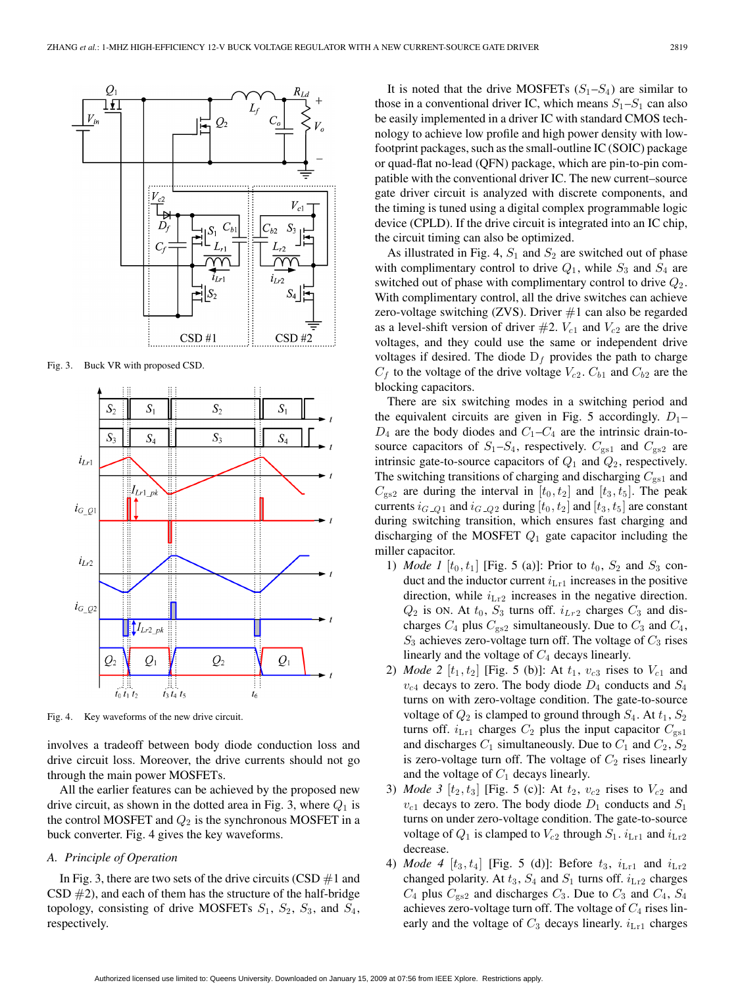

Fig. 3. Buck VR with proposed CSD.



Fig. 4. Key waveforms of the new drive circuit.

involves a tradeoff between body diode conduction loss and drive circuit loss. Moreover, the drive currents should not go through the main power MOSFETs.

All the earlier features can be achieved by the proposed new drive circuit, as shown in the dotted area in Fig. 3, where  $Q_1$  is the control MOSFET and  $Q_2$  is the synchronous MOSFET in a buck converter. Fig. 4 gives the key waveforms.

## *A. Principle of Operation*

In Fig. 3, there are two sets of the drive circuits (CSD  $#1$  and  $CSD \#2$ ), and each of them has the structure of the half-bridge topology, consisting of drive MOSFETs  $S_1$ ,  $S_2$ ,  $S_3$ , and  $S_4$ , respectively.

It is noted that the drive MOSFETs  $(S_1-S_4)$  are similar to those in a conventional driver IC, which means  $S_1 - S_1$  can also be easily implemented in a driver IC with standard CMOS technology to achieve low profile and high power density with lowfootprint packages, such as the small-outline IC (SOIC) package or quad-flat no-lead (QFN) package, which are pin-to-pin compatible with the conventional driver IC. The new current–source gate driver circuit is analyzed with discrete components, and the timing is tuned using a digital complex programmable logic device (CPLD). If the drive circuit is integrated into an IC chip, the circuit timing can also be optimized.

As illustrated in Fig. 4,  $S_1$  and  $S_2$  are switched out of phase with complimentary control to drive  $Q_1$ , while  $S_3$  and  $S_4$  are switched out of phase with complimentary control to drive  $Q_2$ . With complimentary control, all the drive switches can achieve zero-voltage switching  $(ZVS)$ . Driver  $\#1$  can also be regarded as a level-shift version of driver  $#2$ .  $V_{c1}$  and  $V_{c2}$  are the drive voltages, and they could use the same or independent drive voltages if desired. The diode  $D_f$  provides the path to charge  $C_f$  to the voltage of the drive voltage  $V_{c2}$ .  $C_{b1}$  and  $C_{b2}$  are the blocking capacitors.

There are six switching modes in a switching period and the equivalent circuits are given in Fig. 5 accordingly.  $D_1$  –  $D_4$  are the body diodes and  $C_1 - C_4$  are the intrinsic drain-tosource capacitors of  $S_1 - S_4$ , respectively.  $C_{gs1}$  and  $C_{gs2}$  are intrinsic gate-to-source capacitors of  $Q_1$  and  $Q_2$ , respectively. The switching transitions of charging and discharging  $C_{gs1}$  and  $C_{gs2}$  are during the interval in  $[t_0, t_2]$  and  $[t_3, t_5]$ . The peak currents  $i_{G_2Q_1}$  and  $i_{G_2Q_2}$  during  $[t_0, t_2]$  and  $[t_3, t_5]$  are constant during switching transition, which ensures fast charging and discharging of the MOSFET  $Q_1$  gate capacitor including the miller capacitor.

- 1) *Mode 1*  $[t_0, t_1]$  [Fig. 5 (a)]: Prior to  $t_0$ ,  $S_2$  and  $S_3$  conduct and the inductor current  $i_{Lr1}$  increases in the positive direction, while  $i_{\text{Lr2}}$  increases in the negative direction.  $Q_2$  is ON. At  $t_0$ ,  $S_3$  turns off.  $i_{Lr2}$  charges  $C_3$  and discharges  $C_4$  plus  $C_{gs2}$  simultaneously. Due to  $C_3$  and  $C_4$ ,  $S_3$  achieves zero-voltage turn off. The voltage of  $C_3$  rises linearly and the voltage of  $C_4$  decays linearly.
- 2) *Mode* 2  $[t_1, t_2]$  [Fig. 5 (b)]: At  $t_1$ ,  $v_{c3}$  rises to  $V_{c1}$  and  $v_{c4}$  decays to zero. The body diode  $D_4$  conducts and  $S_4$ turns on with zero-voltage condition. The gate-to-source voltage of  $Q_2$  is clamped to ground through  $S_4$ . At  $t_1, S_2$ turns off.  $i_{\text{Lr1}}$  charges  $C_2$  plus the input capacitor  $C_{gs1}$ and discharges  $C_1$  simultaneously. Due to  $C_1$  and  $C_2$ ,  $S_2$ is zero-voltage turn off. The voltage of  $C_2$  rises linearly and the voltage of  $C_1$  decays linearly.
- 3) *Mode 3*  $[t_2, t_3]$  [Fig. 5 (c)]: At  $t_2$ ,  $v_{c2}$  rises to  $V_{c2}$  and  $v_{c1}$  decays to zero. The body diode  $D_1$  conducts and  $S_1$ turns on under zero-voltage condition. The gate-to-source voltage of  $Q_1$  is clamped to  $V_{c2}$  through  $S_1$ .  $i_{Lr1}$  and  $i_{Lr2}$ decrease.
- 4) *Mode 4*  $[t_3, t_4]$  [Fig. 5 (d)]: Before  $t_3$ ,  $i_{Lr1}$  and  $i_{Lr2}$ changed polarity. At  $t_3$ ,  $S_4$  and  $S_1$  turns off.  $i_{Lr2}$  charges  $C_4$  plus  $C_{gs2}$  and discharges  $C_3$ . Due to  $C_3$  and  $C_4$ ,  $S_4$ achieves zero-voltage turn off. The voltage of  $C_4$  rises linearly and the voltage of  $C_3$  decays linearly.  $i_{Lr1}$  charges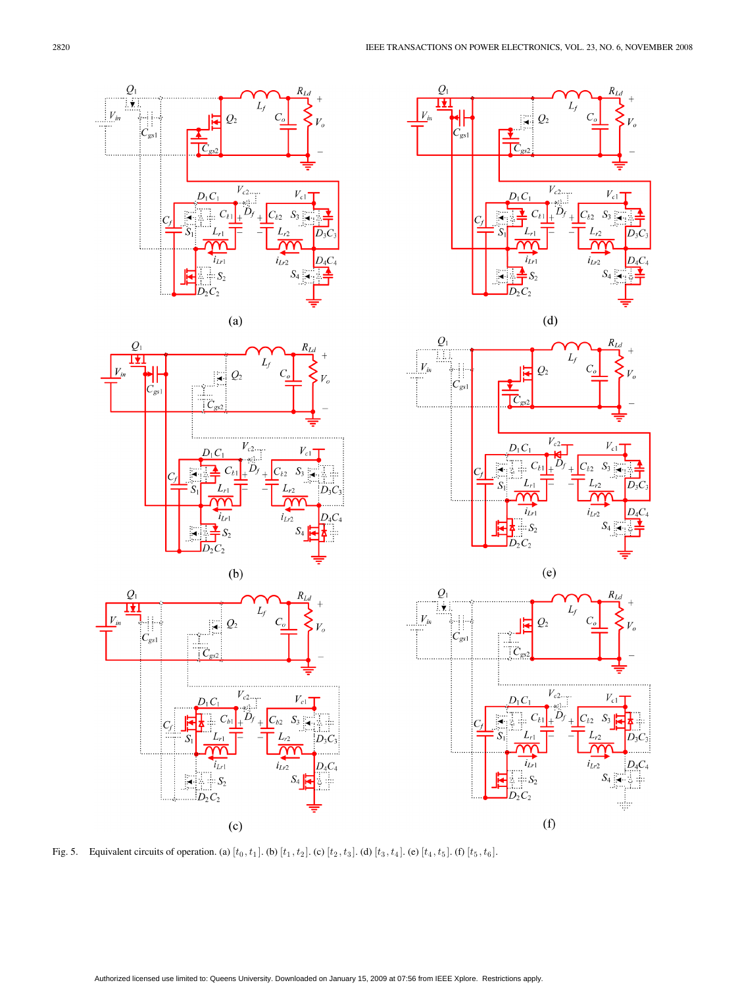

Fig. 5. Equivalent circuits of operation. (a)  $[t_0, t_1]$ . (b)  $[t_1, t_2]$ . (c)  $[t_2, t_3]$ . (d)  $[t_3, t_4]$ . (e)  $[t_4, t_5]$ . (f)  $[t_5, t_6]$ .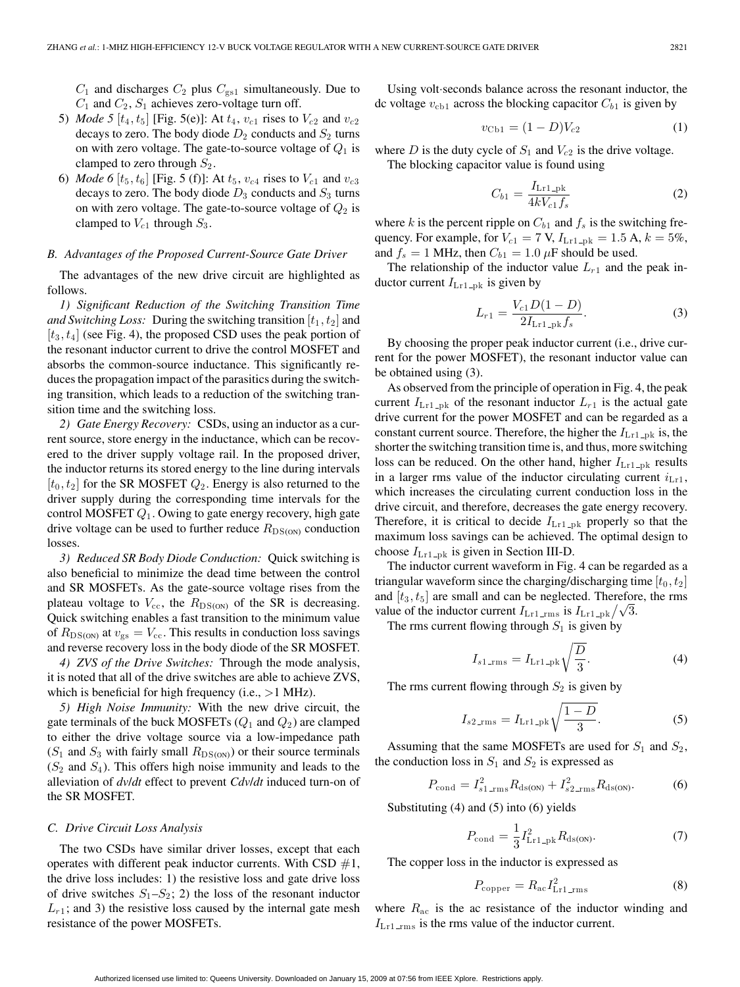$C_1$  and discharges  $C_2$  plus  $C_{gs1}$  simultaneously. Due to  $C_1$  and  $C_2$ ,  $S_1$  achieves zero-voltage turn off.

- 5) *Mode* 5  $[t_4, t_5]$  [Fig. 5(e)]: At  $t_4$ ,  $v_{c1}$  rises to  $V_{c2}$  and  $v_{c2}$ decays to zero. The body diode  $D_2$  conducts and  $S_2$  turns on with zero voltage. The gate-to-source voltage of  $Q_1$  is clamped to zero through  $S_2$ .
- 6) *Mode* 6  $[t_5, t_6]$  [Fig. 5 (f)]: At  $t_5$ ,  $v_{c4}$  rises to  $V_{c1}$  and  $v_{c3}$ decays to zero. The body diode  $D_3$  conducts and  $S_3$  turns on with zero voltage. The gate-to-source voltage of  $Q_2$  is clamped to  $V_{c1}$  through  $S_3$ .

## *B. Advantages of the Proposed Current-Source Gate Driver*

The advantages of the new drive circuit are highlighted as follows.

*1) Significant Reduction of the Switching Transition Time and Switching Loss:* During the switching transition  $[t_1, t_2]$  and  $[t_3, t_4]$  (see Fig. 4), the proposed CSD uses the peak portion of the resonant inductor current to drive the control MOSFET and absorbs the common-source inductance. This significantly reduces the propagation impact of the parasitics during the switching transition, which leads to a reduction of the switching transition time and the switching loss.

*2) Gate Energy Recovery:* CSDs, using an inductor as a current source, store energy in the inductance, which can be recovered to the driver supply voltage rail. In the proposed driver, the inductor returns its stored energy to the line during intervals  $[t_0, t_2]$  for the SR MOSFET  $Q_2$ . Energy is also returned to the driver supply during the corresponding time intervals for the control MOSFET  $Q_1$ . Owing to gate energy recovery, high gate drive voltage can be used to further reduce  $R_{DS(ON)}$  conduction losses.

*3) Reduced SR Body Diode Conduction:* Quick switching is also beneficial to minimize the dead time between the control and SR MOSFETs. As the gate-source voltage rises from the plateau voltage to  $V_{\text{cc}}$ , the  $R_{\text{DS(ON)}}$  of the SR is decreasing. Quick switching enables a fast transition to the minimum value of  $R_{\text{DS(ON)}}$  at  $v_{\text{gs}} = V_{\text{cc}}$ . This results in conduction loss savings and reverse recovery loss in the body diode of the SR MOSFET.

*4) ZVS of the Drive Switches:* Through the mode analysis, it is noted that all of the drive switches are able to achieve ZVS, which is beneficial for high frequency (i.e.,  $>1$  MHz).

*5) High Noise Immunity:* With the new drive circuit, the gate terminals of the buck MOSFETs  $(Q_1 \text{ and } Q_2)$  are clamped to either the drive voltage source via a low-impedance path  $(S_1$  and  $S_3$  with fairly small  $R_{DS(ON)}$  or their source terminals  $(S_2 \text{ and } S_4)$ . This offers high noise immunity and leads to the alleviation of *dv*/*dt* effect to prevent *Cdv*/*dt* induced turn-on of the SR MOSFET.

### *C. Drive Circuit Loss Analysis*

The two CSDs have similar driver losses, except that each operates with different peak inductor currents. With CSD  $#1$ , the drive loss includes: 1) the resistive loss and gate drive loss of drive switches  $S_1 - S_2$ ; 2) the loss of the resonant inductor  $L_{r1}$ ; and 3) the resistive loss caused by the internal gate mesh resistance of the power MOSFETs.

Using volt·seconds balance across the resonant inductor, the dc voltage  $v_{\text{cb1}}$  across the blocking capacitor  $C_{b1}$  is given by

$$
v_{\text{Cb1}} = (1 - D)V_{c2} \tag{1}
$$

where  $D$  is the duty cycle of  $S_1$  and  $V_{c2}$  is the drive voltage. The blocking capacitor value is found using

$$
C_{b1} = \frac{I_{Lr1-pk}}{4kV_{c1}f_s}
$$
 (2)

where k is the percent ripple on  $C_{b1}$  and  $f_s$  is the switching frequency. For example, for  $V_{c1} = 7$  V,  $I_{Lr1}$ <sub>-pk</sub> = 1.5 A,  $k = 5\%$ , and  $f_s = 1$  MHz, then  $C_{b1} = 1.0 \mu$ F should be used.

The relationship of the inductor value  $L_{r1}$  and the peak inductor current  $I_{Lr1-pk}$  is given by

$$
L_{r1} = \frac{V_{c1}D(1 - D)}{2I_{\text{Lr1}}Rf_s}.
$$
 (3)

By choosing the proper peak inductor current (i.e., drive current for the power MOSFET), the resonant inductor value can be obtained using (3).

As observed from the principle of operation in Fig. 4, the peak current  $I_{Lr1-pk}$  of the resonant inductor  $L_{r1}$  is the actual gate drive current for the power MOSFET and can be regarded as a constant current source. Therefore, the higher the  $I_{Lr1}$ <sub>-pk</sub> is, the shorter the switching transition time is, and thus, more switching loss can be reduced. On the other hand, higher  $I_{\text{Lr1-pk}}$  results in a larger rms value of the inductor circulating current  $i_{\text{Lr1}}$ , which increases the circulating current conduction loss in the drive circuit, and therefore, decreases the gate energy recovery. Therefore, it is critical to decide  $I_{Lr1}$ <sub>pk</sub> properly so that the maximum loss savings can be achieved. The optimal design to choose  $I_{Lr1-pk}$  is given in Section III-D.

The inductor current waveform in Fig. 4 can be regarded as a triangular waveform since the charging/discharging time  $[t_0, t_2]$ and  $[t_3, t_5]$  are small and can be neglected. Therefore, the rms value of the inductor current  $I_{Lr1\_rms}$  is  $I_{Lr1\_pk}/\sqrt{3}$ .

The rms current flowing through  $S_1$  is given by

$$
I_{s1\text{.\,rms}} = I_{\text{Lrl}\text{.\,pk}} \sqrt{\frac{D}{3}}.\tag{4}
$$

The rms current flowing through  $S_2$  is given by

$$
I_{s2\text{.rms}} = I_{\text{Lrl\_pk}} \sqrt{\frac{1-D}{3}}.
$$
 (5)

Assuming that the same MOSFETs are used for  $S_1$  and  $S_2$ , the conduction loss in  $S_1$  and  $S_2$  is expressed as

$$
P_{\text{cond}} = I_{s1 \text{ \_\,}}^2 R_{\text{ds(ON)}} + I_{s2 \text{ \_\,}}^2 R_{\text{ds(ON)}}.
$$
 (6)

Substituting (4) and (5) into (6) yields

$$
P_{\text{cond}} = \frac{1}{3} I_{\text{Lr1}}^2_{\text{pk}} R_{\text{ds(ON)}}.
$$
 (7)

The copper loss in the inductor is expressed as

$$
P_{\text{copper}} = R_{\text{ac}} I_{\text{Lr1\_rms}}^2 \tag{8}
$$

where  $R_{ac}$  is the ac resistance of the inductor winding and  $I_{\text{Lr1\_rms}}$  is the rms value of the inductor current.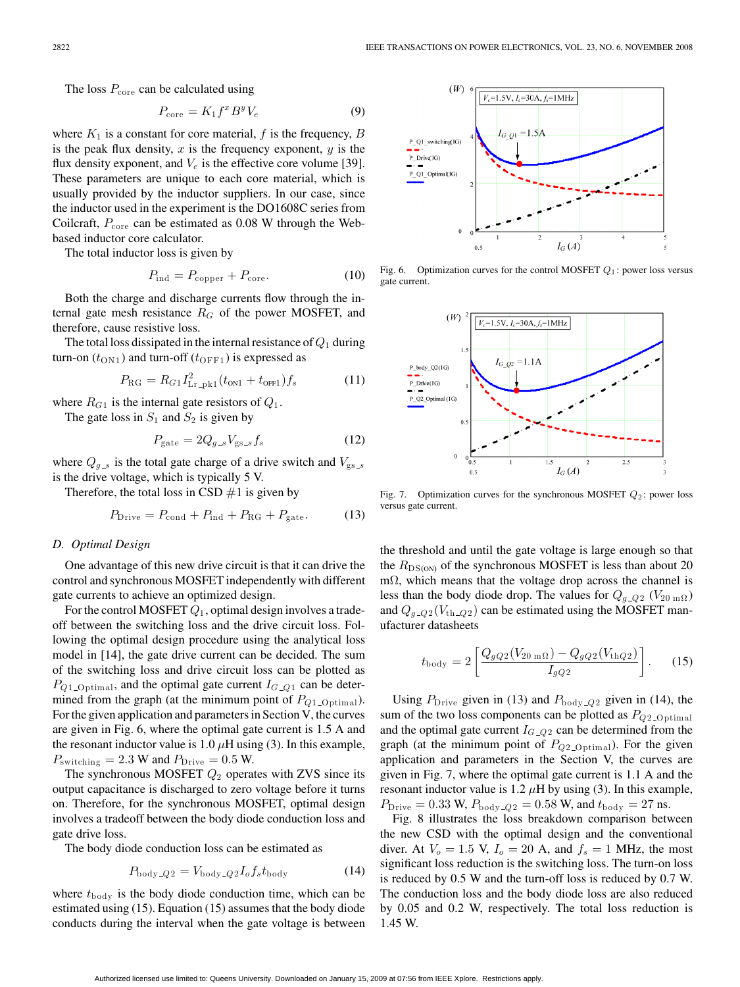The loss  $P_{\text{core}}$  can be calculated using

$$
P_{\text{core}} = K_1 f^x B^y V_e \tag{9}
$$

where  $K_1$  is a constant for core material, f is the frequency, B is the peak flux density,  $x$  is the frequency exponent,  $y$  is the flux density exponent, and  $V_e$  is the effective core volume [39]. These parameters are unique to each core material, which is usually provided by the inductor suppliers. In our case, since the inductor used in the experiment is the DO1608C series from Coilcraft,  $P_{\text{core}}$  can be estimated as 0.08 W through the Webbased inductor core calculator.

The total inductor loss is given by

$$
P_{\text{ind}} = P_{\text{copper}} + P_{\text{core}}.\tag{10}
$$

Both the charge and discharge currents flow through the internal gate mesh resistance  $R_G$  of the power MOSFET, and therefore, cause resistive loss.

The total loss dissipated in the internal resistance of  $Q_1$  during turn-on  $(t_{\text{ON1}})$  and turn-off  $(t_{\text{OFF1}})$  is expressed as

$$
P_{\rm RG} = R_{G1} I_{\rm Lr\_pk1}^2 (t_{\rm ON1} + t_{\rm OFF1}) f_s \tag{11}
$$

where  $R_{G1}$  is the internal gate resistors of  $Q_1$ .

The gate loss in  $S_1$  and  $S_2$  is given by

$$
P_{\text{gate}} = 2Q_{g,s} V_{\text{gs}\_s} f_s \tag{12}
$$

where  $Q_{g,s}$  is the total gate charge of a drive switch and  $V_{gs,s}$ is the drive voltage, which is typically 5 V.

Therefore, the total loss in CSD  $#1$  is given by

$$
P_{\text{Dirive}} = P_{\text{cond}} + P_{\text{ind}} + P_{\text{RG}} + P_{\text{gate}}.
$$
 (13)

## *D. Optimal Design*

One advantage of this new drive circuit is that it can drive the control and synchronous MOSFET independently with different gate currents to achieve an optimized design.

For the control MOSFET  $Q_1$ , optimal design involves a tradeoff between the switching loss and the drive circuit loss. Following the optimal design procedure using the analytical loss model in [14], the gate drive current can be decided. The sum of the switching loss and drive circuit loss can be plotted as  $P_{Q1\_{\text{Optimal}}},$  and the optimal gate current  $I_{G\_{Q1}}$  can be determined from the graph (at the minimum point of  $P_{Q1\_{\text{Optimal}}}.$ For the given application and parameters in Section V, the curves are given in Fig. 6, where the optimal gate current is 1.5 A and the resonant inductor value is 1.0  $\mu$ H using (3). In this example,  $P<sub>switching</sub> = 2.3 W and P<sub>Dirive</sub> = 0.5 W.$ 

The synchronous MOSFET  $Q_2$  operates with ZVS since its output capacitance is discharged to zero voltage before it turns on. Therefore, for the synchronous MOSFET, optimal design involves a tradeoff between the body diode conduction loss and gate drive loss.

The body diode conduction loss can be estimated as

$$
P_{\text{body}\_\text{Q2}} = V_{\text{body}\_\text{Q2}} I_o f_s t_{\text{body}} \tag{14}
$$

where  $t_{\text{body}}$  is the body diode conduction time, which can be estimated using (15). Equation (15) assumes that the body diode conducts during the interval when the gate voltage is between



Fig. 6. Optimization curves for the control MOSFET  $Q_1$ : power loss versus gate current.



Fig. 7. Optimization curves for the synchronous MOSFET  $Q_2$ : power loss versus gate current.

the threshold and until the gate voltage is large enough so that the  $R_{DS(ON)}$  of the synchronous MOSFET is less than about 20 mΩ, which means that the voltage drop across the channel is less than the body diode drop. The values for  $Q_{g\_Q2}$  ( $V_{20 \text{ m}\Omega}$ ) and  $Q_{q_2Q2}(V_{th_2Q2})$  can be estimated using the MOSFET manufacturer datasheets

$$
t_{\rm body} = 2 \left[ \frac{Q_{gQ2}(V_{20\,\rm m\Omega}) - Q_{gQ2}(V_{\rm thQ2})}{I_{gQ2}} \right].
$$
 (15)

Using  $P_{\text{Drive}}$  given in (13) and  $P_{\text{body} = Q2}$  given in (14), the sum of the two loss components can be plotted as  $P_{Q2\_{\text{Optimal}}}$ and the optimal gate current  $I_{G-Q2}$  can be determined from the graph (at the minimum point of  $P_{Q2\_{\text{Optimal}}}.$  For the given application and parameters in the Section V, the curves are given in Fig. 7, where the optimal gate current is 1.1 A and the resonant inductor value is 1.2  $\mu$ H by using (3). In this example,  $P_{\text{Drive}} = 0.33 \text{ W}, P_{\text{body Q2}} = 0.58 \text{ W}, \text{and } t_{\text{body}} = 27 \text{ ns}.$ 

Fig. 8 illustrates the loss breakdown comparison between the new CSD with the optimal design and the conventional diver. At  $V_o = 1.5$  V,  $I_o = 20$  A, and  $f_s = 1$  MHz, the most significant loss reduction is the switching loss. The turn-on loss is reduced by 0.5 W and the turn-off loss is reduced by 0.7 W. The conduction loss and the body diode loss are also reduced by 0.05 and 0.2 W, respectively. The total loss reduction is 1.45 W.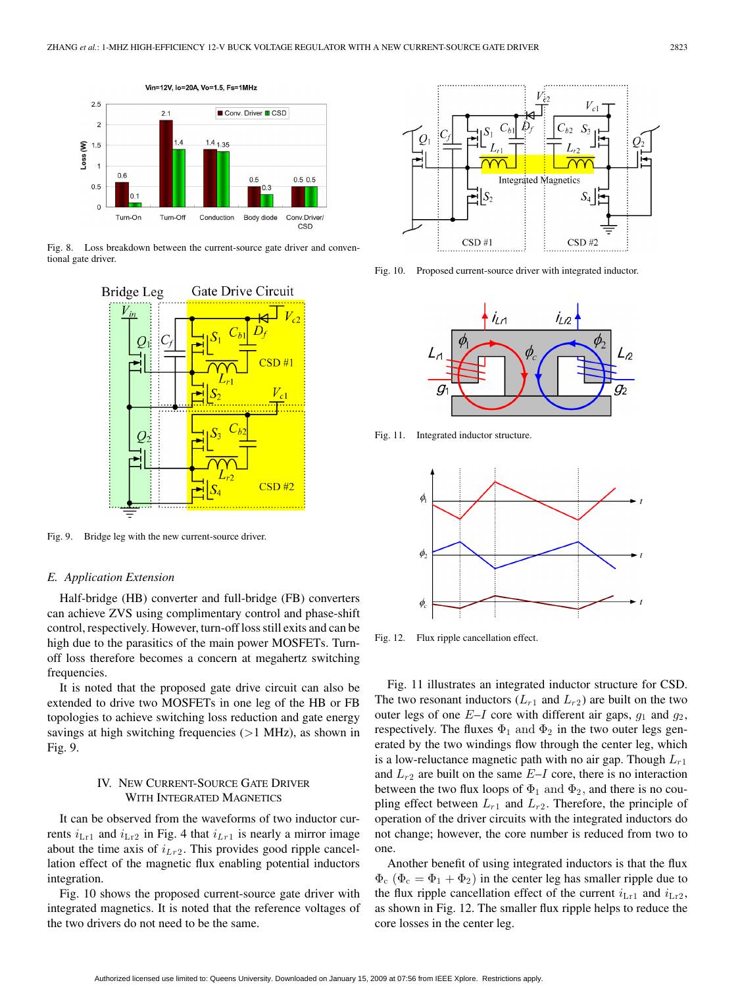

Fig. 8. Loss breakdown between the current-source gate driver and conventional gate driver.



Fig. 9. Bridge leg with the new current-source driver.

### *E. Application Extension*

Half-bridge (HB) converter and full-bridge (FB) converters can achieve ZVS using complimentary control and phase-shift control, respectively. However, turn-off loss still exits and can be high due to the parasitics of the main power MOSFETs. Turnoff loss therefore becomes a concern at megahertz switching frequencies.

It is noted that the proposed gate drive circuit can also be extended to drive two MOSFETs in one leg of the HB or FB topologies to achieve switching loss reduction and gate energy savings at high switching frequencies  $(>1$  MHz), as shown in Fig. 9.

## IV. NEW CURRENT-SOURCE GATE DRIVER WITH INTEGRATED MAGNETICS

It can be observed from the waveforms of two inductor currents  $i_{Lr1}$  and  $i_{Lr2}$  in Fig. 4 that  $i_{Lr1}$  is nearly a mirror image about the time axis of  $i_{Lr2}$ . This provides good ripple cancellation effect of the magnetic flux enabling potential inductors integration.

Fig. 10 shows the proposed current-source gate driver with integrated magnetics. It is noted that the reference voltages of the two drivers do not need to be the same.



Fig. 10. Proposed current-source driver with integrated inductor.



Fig. 11. Integrated inductor structure.



Fig. 12. Flux ripple cancellation effect.

Fig. 11 illustrates an integrated inductor structure for CSD. The two resonant inductors  $(L_{r1}$  and  $L_{r2}$ ) are built on the two outer legs of one  $E-I$  core with different air gaps,  $g_1$  and  $g_2$ , respectively. The fluxes  $\Phi_1$  and  $\Phi_2$  in the two outer legs generated by the two windings flow through the center leg, which is a low-reluctance magnetic path with no air gap. Though  $L_{r1}$ and  $L_{r2}$  are built on the same  $E-I$  core, there is no interaction between the two flux loops of  $\Phi_1$  and  $\Phi_2$ , and there is no coupling effect between  $L_{r1}$  and  $L_{r2}$ . Therefore, the principle of operation of the driver circuits with the integrated inductors do not change; however, the core number is reduced from two to one.

Another benefit of using integrated inductors is that the flux  $\Phi_c$  ( $\Phi_c = \Phi_1 + \Phi_2$ ) in the center leg has smaller ripple due to the flux ripple cancellation effect of the current  $i_{\text{Lr1}}$  and  $i_{\text{Lr2}}$ , as shown in Fig. 12. The smaller flux ripple helps to reduce the core losses in the center leg.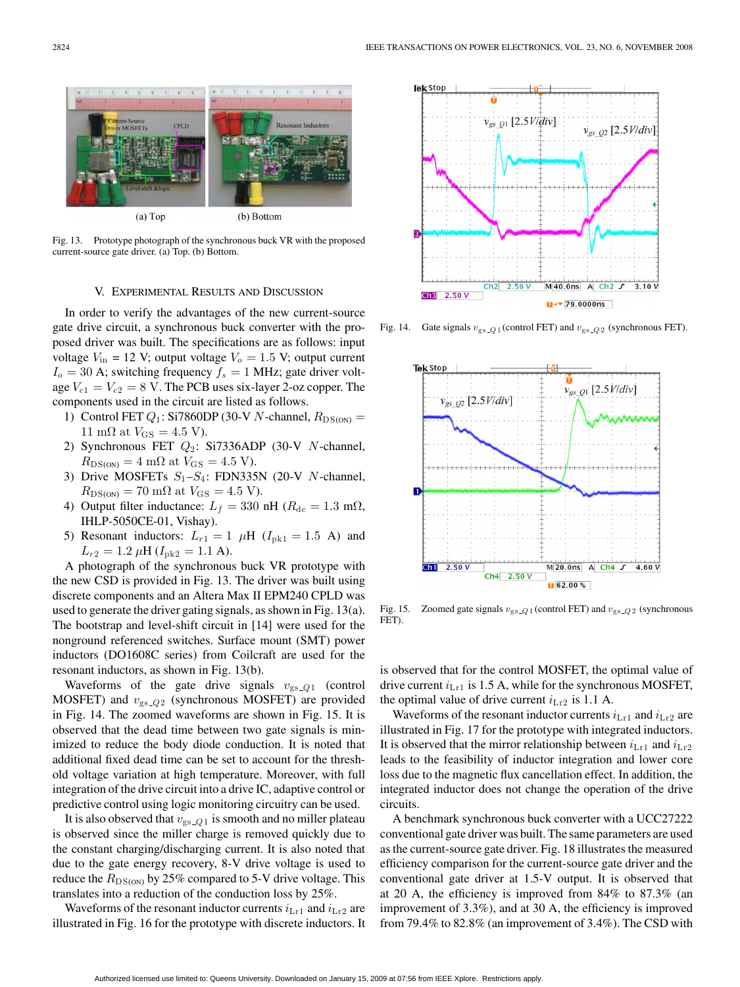

Fig. 13. Prototype photograph of the synchronous buck VR with the proposed current-source gate driver. (a) Top. (b) Bottom.

#### V. EXPERIMENTAL RESULTS AND DISCUSSION

In order to verify the advantages of the new current-source gate drive circuit, a synchronous buck converter with the proposed driver was built. The specifications are as follows: input voltage  $V_{\text{in}} = 12$  V; output voltage  $V_0 = 1.5$  V; output current  $I<sub>o</sub> = 30$  A; switching frequency  $f<sub>s</sub> = 1$  MHz; gate driver voltage  $V_{c1} = V_{c2} = 8$  V. The PCB uses six-layer 2-oz copper. The components used in the circuit are listed as follows.

- 1) Control FET  $Q_1$ : Si7860DP (30-V N-channel,  $R_{DS(ON)} =$ 11 mΩ at  $V_{\text{GS}} = 4.5$  V).
- 2) Synchronous FET  $Q_2$ : Si7336ADP (30-V N-channel,  $R_{\text{DS(ON)}} = 4 \text{ m}\Omega \text{ at } V_{\text{GS}} = 4.5 \text{ V}.$
- 3) Drive MOSFETs  $S_1 S_4$ : FDN335N (20-V N-channel,  $R_{\text{DS(ON)}} = 70 \text{ mA}$  at  $V_{\text{GS}} = 4.5 \text{ V}$ .
- 4) Output filter inductance:  $L_f = 330$  nH ( $R_{dc} = 1.3$  m $\Omega$ , IHLP-5050CE-01, Vishay).
- 5) Resonant inductors:  $L_{r1} = 1 \mu H$  ( $I_{pk1} = 1.5$  A) and  $L_{r2} = 1.2 \,\mu\text{H}$  ( $I_{\text{pk2}} = 1.1 \text{ A}$ ).

A photograph of the synchronous buck VR prototype with the new CSD is provided in Fig. 13. The driver was built using discrete components and an Altera Max II EPM240 CPLD was used to generate the driver gating signals, as shown in Fig. 13(a). The bootstrap and level-shift circuit in [14] were used for the nonground referenced switches. Surface mount (SMT) power inductors (DO1608C series) from Coilcraft are used for the resonant inductors, as shown in Fig. 13(b).

Waveforms of the gate drive signals  $v_{gs_2Q1}$  (control MOSFET) and  $v_{gs_02}$  (synchronous MOSFET) are provided in Fig. 14. The zoomed waveforms are shown in Fig. 15. It is observed that the dead time between two gate signals is minimized to reduce the body diode conduction. It is noted that additional fixed dead time can be set to account for the threshold voltage variation at high temperature. Moreover, with full integration of the drive circuit into a drive IC, adaptive control or predictive control using logic monitoring circuitry can be used.

It is also observed that  $v_{\rm gs, Q1}$  is smooth and no miller plateau is observed since the miller charge is removed quickly due to the constant charging/discharging current. It is also noted that due to the gate energy recovery, 8-V drive voltage is used to reduce the  $R_{\text{DS(ON)}}$  by 25% compared to 5-V drive voltage. This translates into a reduction of the conduction loss by 25%.

Waveforms of the resonant inductor currents  $i_{\text{Lr1}}$  and  $i_{\text{Lr2}}$  are illustrated in Fig. 16 for the prototype with discrete inductors. It



Fig. 14. Gate signals  $v_{\text{gs}\text{-}Q1}$  (control FET) and  $v_{\text{gs}\text{-}Q2}$  (synchronous FET).



Fig. 15. Zoomed gate signals  $v_{\text{gs}\text{-}Q1}$  (control FET) and  $v_{\text{gs}\text{-}Q2}$  (synchronous FET).

is observed that for the control MOSFET, the optimal value of drive current  $i_{Lr1}$  is 1.5 A, while for the synchronous MOSFET, the optimal value of drive current  $i_{\text{Lr2}}$  is 1.1 A.

Waveforms of the resonant inductor currents  $i_{Lr1}$  and  $i_{Lr2}$  are illustrated in Fig. 17 for the prototype with integrated inductors. It is observed that the mirror relationship between  $i_{\text{Lr1}}$  and  $i_{\text{Lr2}}$ leads to the feasibility of inductor integration and lower core loss due to the magnetic flux cancellation effect. In addition, the integrated inductor does not change the operation of the drive circuits.

A benchmark synchronous buck converter with a UCC27222 conventional gate driver was built. The same parameters are used as the current-source gate driver. Fig. 18 illustrates the measured efficiency comparison for the current-source gate driver and the conventional gate driver at 1.5-V output. It is observed that at 20 A, the efficiency is improved from 84% to 87.3% (an improvement of 3.3%), and at 30 A, the efficiency is improved from 79.4% to 82.8% (an improvement of 3.4%). The CSD with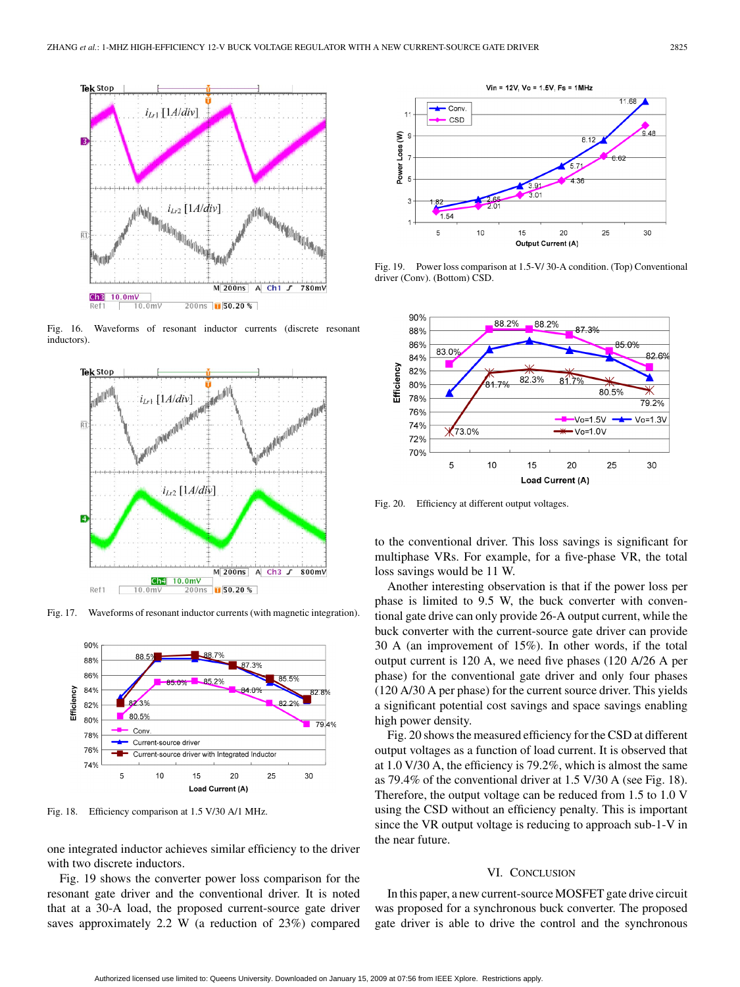

Fig. 16. Waveforms of resonant inductor currents (discrete resonant inductors).



Fig. 17. Waveforms of resonant inductor currents (with magnetic integration).



Fig. 18. Efficiency comparison at 1.5 V/30 A/1 MHz.

one integrated inductor achieves similar efficiency to the driver with two discrete inductors.

Fig. 19 shows the converter power loss comparison for the resonant gate driver and the conventional driver. It is noted that at a 30-A load, the proposed current-source gate driver saves approximately 2.2 W (a reduction of 23%) compared



Fig. 19. Power loss comparison at 1.5-V/ 30-A condition. (Top) Conventional driver (Conv). (Bottom) CSD.



Fig. 20. Efficiency at different output voltages.

to the conventional driver. This loss savings is significant for multiphase VRs. For example, for a five-phase VR, the total loss savings would be 11 W.

Another interesting observation is that if the power loss per phase is limited to 9.5 W, the buck converter with conventional gate drive can only provide 26-A output current, while the buck converter with the current-source gate driver can provide 30 A (an improvement of 15%). In other words, if the total output current is 120 A, we need five phases (120 A/26 A per phase) for the conventional gate driver and only four phases (120 A/30 A per phase) for the current source driver. This yields a significant potential cost savings and space savings enabling high power density.

Fig. 20 shows the measured efficiency for the CSD at different output voltages as a function of load current. It is observed that at 1.0 V/30 A, the efficiency is 79.2%, which is almost the same as 79.4% of the conventional driver at 1.5 V/30 A (see Fig. 18). Therefore, the output voltage can be reduced from 1.5 to 1.0 V using the CSD without an efficiency penalty. This is important since the VR output voltage is reducing to approach sub-1-V in the near future.

### VI. CONCLUSION

In this paper, a new current-source MOSFET gate drive circuit was proposed for a synchronous buck converter. The proposed gate driver is able to drive the control and the synchronous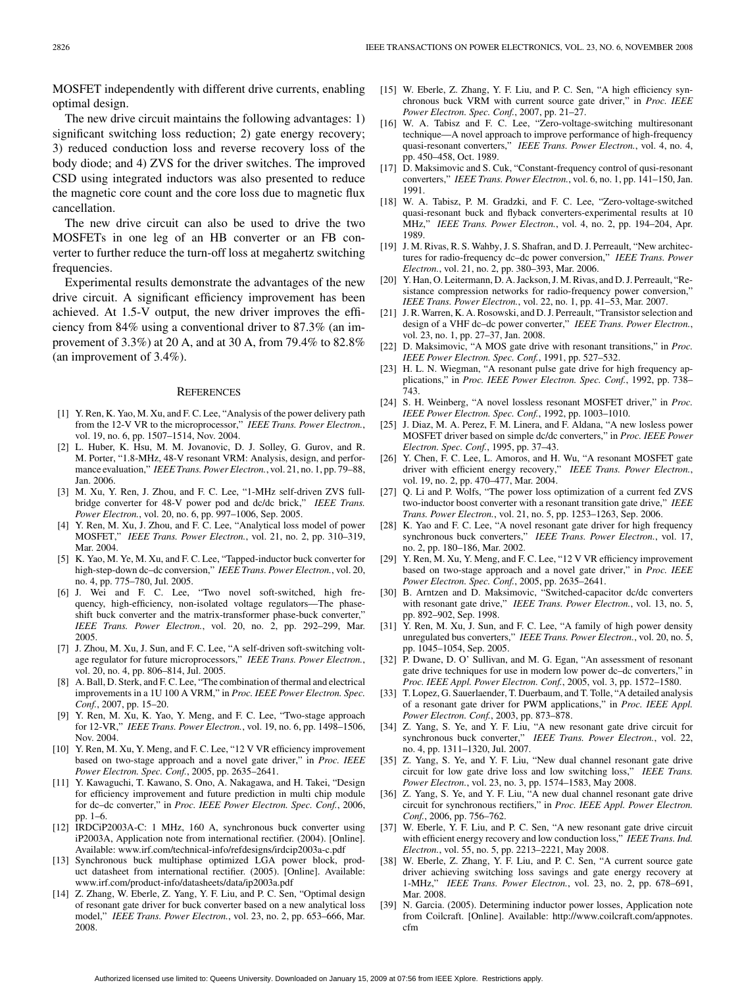MOSFET independently with different drive currents, enabling optimal design.

The new drive circuit maintains the following advantages: 1) significant switching loss reduction; 2) gate energy recovery; 3) reduced conduction loss and reverse recovery loss of the body diode; and 4) ZVS for the driver switches. The improved CSD using integrated inductors was also presented to reduce the magnetic core count and the core loss due to magnetic flux cancellation.

The new drive circuit can also be used to drive the two MOSFETs in one leg of an HB converter or an FB converter to further reduce the turn-off loss at megahertz switching frequencies.

Experimental results demonstrate the advantages of the new drive circuit. A significant efficiency improvement has been achieved. At 1.5-V output, the new driver improves the efficiency from 84% using a conventional driver to 87.3% (an improvement of 3.3%) at 20 A, and at 30 A, from 79.4% to 82.8% (an improvement of 3.4%).

#### **REFERENCES**

- [1] Y. Ren, K. Yao, M. Xu, and F. C. Lee, "Analysis of the power delivery path from the 12-V VR to the microprocessor," *IEEE Trans. Power Electron.*, vol. 19, no. 6, pp. 1507–1514, Nov. 2004.
- [2] L. Huber, K. Hsu, M. M. Jovanovic, D. J. Solley, G. Gurov, and R. M. Porter, "1.8-MHz, 48-V resonant VRM: Analysis, design, and performance evaluation," *IEEE Trans. Power Electron.*, vol. 21, no. 1, pp. 79–88, Jan. 2006.
- [3] M. Xu, Y. Ren, J. Zhou, and F. C. Lee, "1-MHz self-driven ZVS fullbridge converter for 48-V power pod and dc/dc brick," *IEEE Trans. Power Electron.*, vol. 20, no. 6, pp. 997–1006, Sep. 2005.
- Y. Ren, M. Xu, J. Zhou, and F. C. Lee, "Analytical loss model of power MOSFET," *IEEE Trans. Power Electron.*, vol. 21, no. 2, pp. 310–319, Mar. 2004.
- [5] K. Yao, M. Ye, M. Xu, and F. C. Lee, "Tapped-inductor buck converter for high-step-down dc–dc conversion," *IEEE Trans. Power Electron.*, vol. 20, no. 4, pp. 775–780, Jul. 2005.
- [6] J. Wei and F. C. Lee, "Two novel soft-switched, high frequency, high-efficiency, non-isolated voltage regulators—The phaseshift buck converter and the matrix-transformer phase-buck converter," *IEEE Trans. Power Electron.*, vol. 20, no. 2, pp. 292–299, Mar. 2005.
- [7] J. Zhou, M. Xu, J. Sun, and F. C. Lee, "A self-driven soft-switching voltage regulator for future microprocessors," *IEEE Trans. Power Electron.*, vol. 20, no. 4, pp. 806–814, Jul. 2005.
- [8] A. Ball, D. Sterk, and F. C. Lee, "The combination of thermal and electrical improvements in a 1U 100 A VRM," in *Proc. IEEE Power Electron. Spec. Conf.*, 2007, pp. 15–20.
- Y. Ren, M. Xu, K. Yao, Y. Meng, and F. C. Lee, "Two-stage approach for 12-VR," *IEEE Trans. Power Electron.*, vol. 19, no. 6, pp. 1498–1506, Nov. 2004.
- [10] Y. Ren, M. Xu, Y. Meng, and F. C. Lee, "12 V VR efficiency improvement based on two-stage approach and a novel gate driver," in *Proc. IEEE Power Electron. Spec. Conf.*, 2005, pp. 2635–2641.
- [11] Y. Kawaguchi, T. Kawano, S. Ono, A. Nakagawa, and H. Takei, "Design for efficiency improvement and future prediction in multi chip module for dc–dc converter," in *Proc. IEEE Power Electron. Spec. Conf.*, 2006, pp. 1–6.
- [12] IRDCiP2003A-C: 1 MHz, 160 A, synchronous buck converter using iP2003A, Application note from international rectifier. (2004). [Online]. Available: www.irf.com/technical-info/refdesigns/irdcip2003a-c.pdf
- [13] Synchronous buck multiphase optimized LGA power block, product datasheet from international rectifier. (2005). [Online]. Available: www.irf.com/product-info/datasheets/data/ip2003a.pdf
- Z. Zhang, W. Eberle, Z. Yang, Y. F. Liu, and P. C. Sen, "Optimal design of resonant gate driver for buck converter based on a new analytical loss model," *IEEE Trans. Power Electron.*, vol. 23, no. 2, pp. 653–666, Mar. 2008.
- [15] W. Eberle, Z. Zhang, Y. F. Liu, and P. C. Sen, "A high efficiency synchronous buck VRM with current source gate driver," in *Proc. IEEE Power Electron. Spec. Conf.*, 2007, pp. 21–27.
- [16] W. A. Tabisz and F. C. Lee, "Zero-voltage-switching multiresonant technique—A novel approach to improve performance of high-frequency quasi-resonant converters," *IEEE Trans. Power Electron.*, vol. 4, no. 4, pp. 450–458, Oct. 1989.
- [17] D. Maksimovic and S. Cuk, "Constant-frequency control of qusi-resonant converters," *IEEE Trans. Power Electron.*, vol. 6, no. 1, pp. 141–150, Jan. 1991.
- [18] W. A. Tabisz, P. M. Gradzki, and F. C. Lee, "Zero-voltage-switched quasi-resonant buck and flyback converters-experimental results at 10 MHz," *IEEE Trans. Power Electron.*, vol. 4, no. 2, pp. 194–204, Apr. 1989.
- [19] J. M. Rivas, R. S. Wahby, J. S. Shafran, and D. J. Perreault, "New architectures for radio-frequency dc–dc power conversion," *IEEE Trans. Power Electron.*, vol. 21, no. 2, pp. 380–393, Mar. 2006.
- [20] Y. Han, O. Leitermann, D. A. Jackson, J. M. Rivas, and D. J. Perreault, "Resistance compression networks for radio-frequency power conversion," *IEEE Trans. Power Electron.*, vol. 22, no. 1, pp. 41–53, Mar. 2007.
- [21] J. R. Warren, K. A. Rosowski, and D. J. Perreault, "Transistor selection and design of a VHF dc–dc power converter," *IEEE Trans. Power Electron.*, vol. 23, no. 1, pp. 27–37, Jan. 2008.
- [22] D. Maksimovic, "A MOS gate drive with resonant transitions," in *Proc. IEEE Power Electron. Spec. Conf.*, 1991, pp. 527–532.
- [23] H. L. N. Wiegman, "A resonant pulse gate drive for high frequency applications," in *Proc. IEEE Power Electron. Spec. Conf.*, 1992, pp. 738– 743.
- [24] S. H. Weinberg, "A novel lossless resonant MOSFET driver," in *Proc. IEEE Power Electron. Spec. Conf.*, 1992, pp. 1003–1010.
- [25] J. Diaz, M. A. Perez, F. M. Linera, and F. Aldana, "A new losless power MOSFET driver based on simple dc/dc converters," in *Proc. IEEE Power Electron. Spec. Conf.*, 1995, pp. 37–43.
- [26] Y. Chen, F. C. Lee, L. Amoros, and H. Wu, "A resonant MOSFET gate driver with efficient energy recovery," *IEEE Trans. Power Electron.*, vol. 19, no. 2, pp. 470–477, Mar. 2004.
- [27] Q. Li and P. Wolfs, "The power loss optimization of a current fed ZVS two-inductor boost converter with a resonant transition gate drive," *IEEE Trans. Power Electron.*, vol. 21, no. 5, pp. 1253–1263, Sep. 2006.
- [28] K. Yao and F. C. Lee, "A novel resonant gate driver for high frequency synchronous buck converters," *IEEE Trans. Power Electron.*, vol. 17, no. 2, pp. 180–186, Mar. 2002.
- [29] Y. Ren, M. Xu, Y. Meng, and F. C. Lee, "12 V VR efficiency improvement based on two-stage approach and a novel gate driver," in *Proc. IEEE Power Electron. Spec. Conf.*, 2005, pp. 2635–2641.
- [30] B. Arntzen and D. Maksimovic, "Switched-capacitor dc/dc converters with resonant gate drive," *IEEE Trans. Power Electron.*, vol. 13, no. 5, pp. 892–902, Sep. 1998.
- [31] Y. Ren, M. Xu, J. Sun, and F. C. Lee, "A family of high power density unregulated bus converters," *IEEE Trans. Power Electron.*, vol. 20, no. 5, pp. 1045–1054, Sep. 2005.
- [32] P. Dwane, D. O' Sullivan, and M. G. Egan, "An assessment of resonant gate drive techniques for use in modern low power dc–dc converters," in *Proc. IEEE Appl. Power Electron. Conf.*, 2005, vol. 3, pp. 1572–1580.
- [33] T. Lopez, G. Sauerlaender, T. Duerbaum, and T. Tolle, "A detailed analysis of a resonant gate driver for PWM applications," in *Proc. IEEE Appl. Power Electron. Conf.*, 2003, pp. 873–878.
- [34] Z. Yang, S. Ye, and Y. F. Liu, "A new resonant gate drive circuit for synchronous buck converter," *IEEE Trans. Power Electron.*, vol. 22, no. 4, pp. 1311–1320, Jul. 2007.
- [35] Z. Yang, S. Ye, and Y. F. Liu, "New dual channel resonant gate drive circuit for low gate drive loss and low switching loss," *IEEE Trans. Power Electron.*, vol. 23, no. 3, pp. 1574–1583, May 2008.
- [36] Z. Yang, S. Ye, and Y. F. Liu, "A new dual channel resonant gate drive circuit for synchronous rectifiers," in *Proc. IEEE Appl. Power Electron. Conf.*, 2006, pp. 756–762.
- [37] W. Eberle, Y. F. Liu, and P. C. Sen, "A new resonant gate drive circuit with efficient energy recovery and low conduction loss," *IEEE Trans. Ind. Electron.*, vol. 55, no. 5, pp. 2213–2221, May 2008.
- [38] W. Eberle, Z. Zhang, Y. F. Liu, and P. C. Sen, "A current source gate driver achieving switching loss savings and gate energy recovery at 1-MHz," *IEEE Trans. Power Electron.*, vol. 23, no. 2, pp. 678–691, Mar. 2008.
- [39] N. Garcia. (2005). Determining inductor power losses, Application note from Coilcraft. [Online]. Available: http://www.coilcraft.com/appnotes. cfm